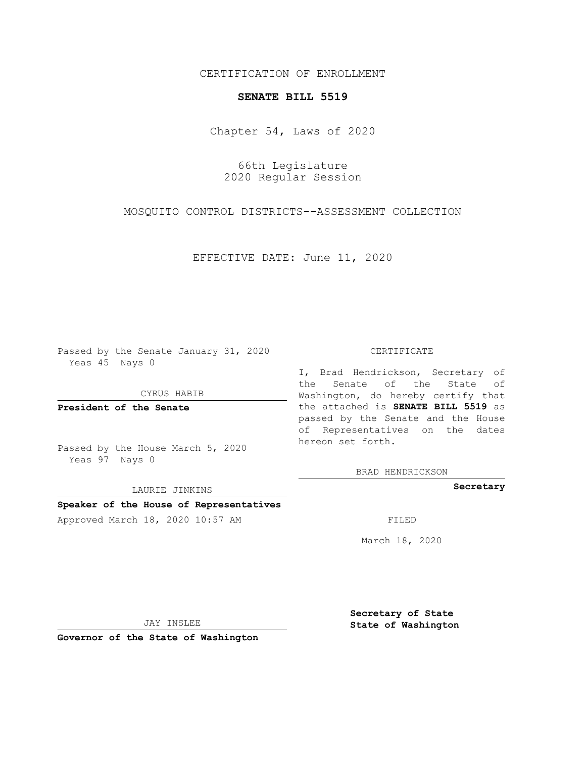CERTIFICATION OF ENROLLMENT

## **SENATE BILL 5519**

Chapter 54, Laws of 2020

66th Legislature 2020 Regular Session

MOSQUITO CONTROL DISTRICTS--ASSESSMENT COLLECTION

EFFECTIVE DATE: June 11, 2020

Passed by the Senate January 31, 2020 Yeas 45 Nays 0

CYRUS HABIB

**President of the Senate**

Passed by the House March 5, 2020 Yeas 97 Nays 0

LAURIE JINKINS

## **Speaker of the House of Representatives**

Approved March 18, 2020 10:57 AM

## CERTIFICATE

I, Brad Hendrickson, Secretary of the Senate of the State of Washington, do hereby certify that the attached is **SENATE BILL 5519** as passed by the Senate and the House of Representatives on the dates hereon set forth.

BRAD HENDRICKSON

**Secretary**

March 18, 2020

JAY INSLEE

**Governor of the State of Washington**

**Secretary of State State of Washington**